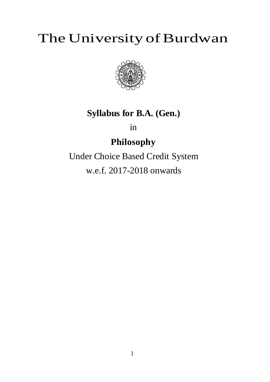# The University of Burdwan



# **Syllabus for B.A. (Gen.)**

in

# **Philosophy**

Under Choice Based Credit System w.e.f. 2017-2018 onwards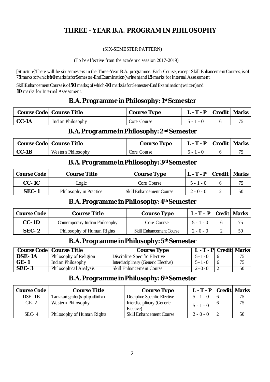# **THREE - YEAR B.A. PROGRAM IN PHILOSOPHY**

#### (SIX-SEMESTER PATTERN)

(To be effective from the academic session 2017-2019)

[Structure]There will be six semesters in the Three-Year B.A. programme. Each Course, except Skill EnhancementCourses,isof 7**5**marks;ofwhich**60**marksisforSemester-EndExamination(written)and**15** marksforInternal Assessment.

SkillEnhancementCourseisof**50**marks;ofwhich**40**marksisforSemester-EndExamination(written)and **10** marks for Internal Assessment.

# **B.A. Programme in Philosophy:1stSemester**

|         | <b>Course Code   Course Title</b> | <b>Course Type</b> | L - T - P   Credit   Marks |  |
|---------|-----------------------------------|--------------------|----------------------------|--|
| $CC-1A$ | Indian Philosophy                 | Core Course        | $5 - 1 - 0$                |  |

### **B.A.ProgrammeinPhilosophy:2ndSemester**

|              | <b>Course Code   Course Title</b> | <b>Course Type</b> | $L - T - P$   Credit   Marks |  |
|--------------|-----------------------------------|--------------------|------------------------------|--|
| $\mid$ CC-1B | Western Philosophy                | Core Course        | $5 - 1 - 0$                  |  |

### **B.A.ProgrammeinPhilosophy:3rdSemester**

| <b>Course Code</b> | <b>Course Title</b>    | <b>Course Type</b>              | $L - T - P$ | <b>Credit</b> | <b>Marks</b> |
|--------------------|------------------------|---------------------------------|-------------|---------------|--------------|
| $CC-1C$            | Logic                  | Core Course                     | $5 - 1 - 0$ |               |              |
| $SEC-1$            | Philosophy in Practice | <b>Skill Enhancement Course</b> | $2 - 0 - 0$ |               | 50           |

# **B.A.ProgrammeinPhilosophy:4thSemester**

| <b>Course Code</b> | <b>Course Title</b>            | <b>Course Type</b>              | $L - T - P$ Credit Marks |    |
|--------------------|--------------------------------|---------------------------------|--------------------------|----|
| $CC-1D$            | Contemporary Indian Philosophy | Core Course                     | $5 - 1 - 0$              |    |
| $SEC-2$            | Philosophy of Human Rights     | <b>Skill Enhancement Course</b> | $2 - 0 - 0$              | 50 |

# **B.A.ProgrammeinPhilosophy:5thSemester**

|         | <b>Course Code   Course Title</b> | <b>Course Type</b>                   | L - T - P Credit Marks |    |
|---------|-----------------------------------|--------------------------------------|------------------------|----|
| DSE-1A  | Philosophy of Religion            | Discipline Specific Elective         | $5 - 1 - 0$            |    |
| $GE-1$  | Indian Philosophy                 | Interdisciplinary (Generic Elective) | $5 - 1 - 0$            |    |
| $SEC-3$ | Philosophical Analysis            | <b>Skill Enhancement Course</b>      | $2 - 0 - 0$            | 50 |

# **B.A.ProgrammeinPhilosophy:6thSemester**

| <b>Course Code</b> | <b>Course Title</b>           | <b>Course Type</b>                      | $L - T - P$ Credit Marks |              |                 |
|--------------------|-------------------------------|-----------------------------------------|--------------------------|--------------|-----------------|
| DSE-1B             | Tarkasamgraha (saptapadārtha) | Discipline Specific Elective            | $5 - 1 - 0$              | $\mathsf{h}$ | 75              |
| $GE-2$             | Western Philosophy            | Interdisciplinary (Generic<br>Elective) | $5 - 1 - 0$              |              | 75              |
| $SEC-4$            | Philosophy of Human Rights    | Skill Enhancement Course                | $2 - 0 - 0$              |              | $\overline{50}$ |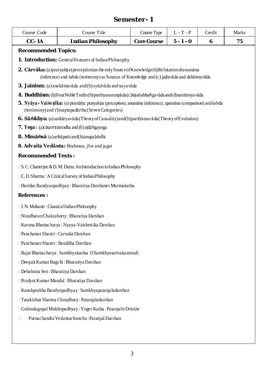# **Semester- 1**

| Course Code                                                   | Course Title                                                                                                                                                           | Course Type        | $L - T - P$ | Credit | <b>Marks</b> |  |  |  |
|---------------------------------------------------------------|------------------------------------------------------------------------------------------------------------------------------------------------------------------------|--------------------|-------------|--------|--------------|--|--|--|
| $CC-1A$                                                       | <b>Indian Philosophy</b>                                                                                                                                               | <b>Core Course</b> | $5 - 1 - 0$ | 6      | 75           |  |  |  |
| <b>Recommended Topics:</b>                                    |                                                                                                                                                                        |                    |             |        |              |  |  |  |
| <b>1. Introduction:</b> General Features of Indian Philosophy |                                                                                                                                                                        |                    |             |        |              |  |  |  |
|                                                               | <b>2. Cārvāka:</b> (a) pratyakṣa(perception) as the only Source of Knowledge (b) Refutation of a numāna                                                                |                    |             |        |              |  |  |  |
|                                                               | (inference) and sabda (testimony) as Sources of Knowledge and (c) jadavāda and dehātmavāda                                                                             |                    |             |        |              |  |  |  |
|                                                               | <b>3. Jainism:</b> (a) anekāntavāda and (b) syādvāda and nayavāda                                                                                                      |                    |             |        |              |  |  |  |
|                                                               | 4. Buddhism: (b)FourNobleTruths (b) pratītyasamutpāda (c) kṣaṇabhaṅga vāda and (d) nairātmya vāda                                                                      |                    |             |        |              |  |  |  |
|                                                               | 5. Nyāya – Vaise șika: (a) pramāņa: pratyakṣa (perception), anumāna (inference), upamāna (comparison) and sabda<br>(testimony) and (b)saptapadārtha (Seven Categories) |                    |             |        |              |  |  |  |
|                                                               | <b>6. Sāmkhya:</b> (a) satkāryavāda (Theory of Causality) and (b) pariņāmavāda (Theory of Evolution)                                                                   |                    |             |        |              |  |  |  |
|                                                               | <b>7. Yoga:</b> (a)cittavrttinirodha and (b) astangayoga                                                                                                               |                    |             |        |              |  |  |  |
|                                                               | 8. Mīmāmsā: (a) arthāpatti and (b) anupa labdhi                                                                                                                        |                    |             |        |              |  |  |  |
|                                                               | 8. Advaita Vedānta: Brahman, jīva and jagat                                                                                                                            |                    |             |        |              |  |  |  |
| <b>Recommended Texts:</b>                                     |                                                                                                                                                                        |                    |             |        |              |  |  |  |
|                                                               | $\square$ S. C. Chatterjee & D. M. Dutta: An Introduction to Indian Philosophy                                                                                         |                    |             |        |              |  |  |  |
|                                                               | □ C. D. Sharma: A Critical Survey of Indian Philosophy                                                                                                                 |                    |             |        |              |  |  |  |
|                                                               | □Haridas Bandyaopadhyay: Bharatiya Darshaner Marmakatha                                                                                                                |                    |             |        |              |  |  |  |
| <b>References:</b>                                            |                                                                                                                                                                        |                    |             |        |              |  |  |  |
|                                                               | □J.N. Mohanti: Classical Indian Philosophy                                                                                                                             |                    |             |        |              |  |  |  |
|                                                               | □Niradbaran Chakraborty: Bharatiya Darshan                                                                                                                             |                    |             |        |              |  |  |  |
|                                                               | □ Karuna Bhattacharya : Nyaya-Vaishesika Darshan                                                                                                                       |                    |             |        |              |  |  |  |
| □ Panchanan Shastri : Carvaka Darshan                         |                                                                                                                                                                        |                    |             |        |              |  |  |  |
| □ Panchanan Shastri : Bauddha Darshan                         |                                                                                                                                                                        |                    |             |        |              |  |  |  |
|                                                               | □Rajat Bhattacharya: Samkhyakarika OSamkhyatattvakaumudi                                                                                                               |                    |             |        |              |  |  |  |
|                                                               | □Deepak Kumar Bagchi : Bharatiya Darshan                                                                                                                               |                    |             |        |              |  |  |  |
| □Debabrata Sen: Bharatiya Darshan                             |                                                                                                                                                                        |                    |             |        |              |  |  |  |
|                                                               | □Pradyot Kumar Mandal: Bharatiya Darshan                                                                                                                               |                    |             |        |              |  |  |  |
|                                                               | □ Kanakprabha Bandyopadhyay: Samkhyapatanjaladarshan                                                                                                                   |                    |             |        |              |  |  |  |
|                                                               | □Tarakishor Sharma Choudhury: Patanjaladarshan                                                                                                                         |                    |             |        |              |  |  |  |
|                                                               | □ Gobindagopal Mukhopadhyay : Yoger Katha : Patanjalir Dristite                                                                                                        |                    |             |        |              |  |  |  |
| □                                                             | Purnachandra Vedantachunchu: Patanjal Darshan                                                                                                                          |                    |             |        |              |  |  |  |
|                                                               |                                                                                                                                                                        |                    |             |        |              |  |  |  |
|                                                               |                                                                                                                                                                        |                    |             |        |              |  |  |  |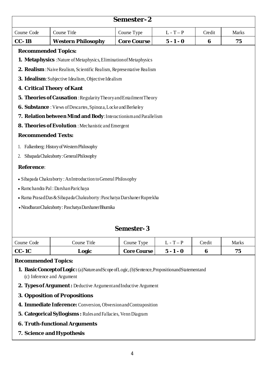| <b>Semester-2</b>                                                                                                                                                        |                                                                               |                    |             |        |              |  |  |  |
|--------------------------------------------------------------------------------------------------------------------------------------------------------------------------|-------------------------------------------------------------------------------|--------------------|-------------|--------|--------------|--|--|--|
| Course Code                                                                                                                                                              | Course Title                                                                  | Course Type        | $L - T - P$ | Credit | <b>Marks</b> |  |  |  |
| $CC-1B$                                                                                                                                                                  | <b>Western Philosophy</b>                                                     | <b>Core Course</b> | $5 - 1 - 0$ | 6      | 75           |  |  |  |
| <b>Recommended Topics:</b>                                                                                                                                               |                                                                               |                    |             |        |              |  |  |  |
|                                                                                                                                                                          | <b>1. Metaphysics</b> : Nature of Metaphysics, Elimination of Metaphysics     |                    |             |        |              |  |  |  |
|                                                                                                                                                                          | <b>2. Realism</b> : Naive Realism, Scientific Realism, Representative Realism |                    |             |        |              |  |  |  |
|                                                                                                                                                                          | <b>3. Idealism:</b> Subjective Idealism, Objective Idealism                   |                    |             |        |              |  |  |  |
|                                                                                                                                                                          | <b>4. Critical Theory of Kant</b>                                             |                    |             |        |              |  |  |  |
|                                                                                                                                                                          | <b>5. Theories of Causation</b> : Regularity Theory and Entailment Theory     |                    |             |        |              |  |  |  |
|                                                                                                                                                                          | <b>6. Substance</b> : Views of Descartes, Spinoza, Locke and Berkeley         |                    |             |        |              |  |  |  |
|                                                                                                                                                                          | 7. Relation between Mind and Body: Interactionism and Parallelism             |                    |             |        |              |  |  |  |
|                                                                                                                                                                          | 8. Theories of Evolution: Mechanistic and Emergent                            |                    |             |        |              |  |  |  |
| <b>Recommended Texts:</b>                                                                                                                                                |                                                                               |                    |             |        |              |  |  |  |
|                                                                                                                                                                          | Falkenberg: History of Western Philosophy                                     |                    |             |        |              |  |  |  |
| 2.                                                                                                                                                                       | Sibapada Chakraborty: General Philosophy                                      |                    |             |        |              |  |  |  |
| <b>Reference:</b>                                                                                                                                                        |                                                                               |                    |             |        |              |  |  |  |
|                                                                                                                                                                          | • Sibapada Chakraborty: An Introduction to General Philosophy                 |                    |             |        |              |  |  |  |
|                                                                                                                                                                          | • Ramchandra Pal: Darshan Parichaya                                           |                    |             |        |              |  |  |  |
|                                                                                                                                                                          | • Rama Prasad Das & Sibapada Chakraborty: Paschatya Darshaner Ruprekha        |                    |             |        |              |  |  |  |
|                                                                                                                                                                          | · Niradbaran Chakraborty: Paschatya Darshaner Bhumika                         |                    |             |        |              |  |  |  |
|                                                                                                                                                                          |                                                                               |                    |             |        |              |  |  |  |
|                                                                                                                                                                          |                                                                               | <b>Semester-3</b>  |             |        |              |  |  |  |
| Course Code                                                                                                                                                              | Course Title                                                                  | Course Type        | $L - T - P$ | Credit | <b>Marks</b> |  |  |  |
| $CC-1C$                                                                                                                                                                  | Logic                                                                         | <b>Core Course</b> | $5 - 1 - 0$ | 6      | 75           |  |  |  |
| <b>Recommended Topics:</b><br><b>1. Basic Concept of Logic:</b> (a) Nature and Scope of Logic, (b) Sentence, Proposition and Statement and<br>(c) Inference and Argument |                                                                               |                    |             |        |              |  |  |  |
|                                                                                                                                                                          | <b>2. Types of Argument:</b> Deductive Argument and Inductive Argument        |                    |             |        |              |  |  |  |
| 3. Opposition of Propositions                                                                                                                                            |                                                                               |                    |             |        |              |  |  |  |
| <b>4. Immediate Inference:</b> Conversion, Obversion and Contraposition                                                                                                  |                                                                               |                    |             |        |              |  |  |  |

- **5. CategoricalSyllogisms :** Rules and Fallacies, Venn Diagram
- **6. Truth-functional Arguments**
- **7. Science andHypothesis**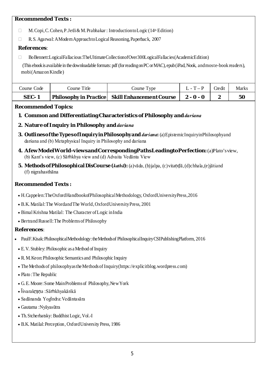#### **Recommended Texts :**

- $\Box$  M. Copi, C. Cohen, P. Jetli & M. Prabhakar : Introductionto Logic (14<sup>th</sup> Edition)
- □ R.S. [Agarwal:](http://www.amazon.in/s/ref%3Ddp_byline_sr_book_1?ie=UTF8&field-author=R.S.%2BAggarwal&search-alias=stripbooks) A Modern Approach to Logical Reasoning, Paperback, 2007

#### **References**:

□ BoBennett:LogicalFallacious:TheUltimateCollectionofOver300LogicalFallacies(AcademicEdition)

(This ebookis available in the downloadable formats: pdf (forreadingonPCorMAC), epub(iPad,Nook, andmoste-book readers), mobi(Amazon Kindle)

| $SEC-1$     |              | Philosophy in Practice   Skill Enhancement Course   2 - 0 - 0 |             |        | 50           |
|-------------|--------------|---------------------------------------------------------------|-------------|--------|--------------|
| Course Code | Course Title | Course Type                                                   | $L - T - P$ | Credit | <b>Marks</b> |

#### **Recommended Topics:**

*1.* **Common and Differentiating Characteristicsof Philosophy and***darśana*

#### *2.* **Nature of Inquiry in Philosophy and***darśana*

- **3. OutlinesoftheTypesofInquiryinPhilosophyand** *darśana***:** (a)EpistemicInquiryinPhilosophyand darśana and (b) Metaphysical Inquiry in Philosophy and darśana
- **4. AfewModelWorld-viewsandCorrespondingPathsLeadingtoPerfection:**(a)Plato'sview, (b) Kant's view, (c) Sāṁkhya view and (d) Advaita Vedānta View
- **5. MethodsofPhilosophical DisCourse(***kathā***):** (a)vāda, (b)jalpa, (c)vitaṇḍā,(d)chhala,(e)jātiand (f) nigrahasthāna

#### **Recommended Texts :**

- H.Cappelen:TheOxfordHandbookofPhilosophicalMethodology, OxfordUniversityPress,2016
- B.K. Matilal:The WordandThe World,OxfordUniversityPress, 2001
- Bimal Krishna Matilal: The Character ofLogic inIndia
- Bertrand Russell: The Problems of Philosophy

#### **References**:

- PaulF.Kisak:PhilosophicalMethodology:theMethodsof PhilosophicalInquiryCSIPublishingPlatform, 2016
- E.V. Stubley: Philosophic as a Method of Inquiry
- R. M. Keon: Philosophic Semantics and Philosophic Inquiry
- The Methods of philosophyas the Methods of Inquiry[\(https://explicitblog.wordpress.com\)](https://explicitblog.wordpress.com/)
- Plato: The Republic
- G.E. Moore:Some MainProblemsof Philosophy,NewYork
- Īśvarak**rsn**a :Sāṁkhyakārikā
- Sadānanda Yogīndra: Vedāntasāra
- Gautama :Nyāyasūtra
- Th. Stcherbatsky: Buddhist Logic, Vol.-I
- B.K. Matilal:Perception, OxfordUniversity Press, 1986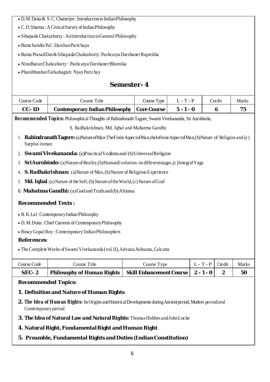- D. M. Datta & S. C. Chatterjee : Introduction to Indian Philosophy
- C. D.Sharma :A CriticalSurvey of IndianPhilosophy
- Sibapada Chakraborty : AnIntroduction toGeneral Philosophy
- Ramchandra Pal : DarshanParichaya
- Rama PrasadDas&SibapadaChakraborty:PashcatyaDarshanerRuprekha
- NiradbaranChakraborty : PashcatyaDarshanerBhumika
- PhanibhushanTarkabagish: NyayParichay

# **Semester- 4**

| Course Code                                                                                                                                   | Course Title                                                                                       | Course Type                     | $L - T - P$ |             | Credit           | Marks        |  |  |  |
|-----------------------------------------------------------------------------------------------------------------------------------------------|----------------------------------------------------------------------------------------------------|---------------------------------|-------------|-------------|------------------|--------------|--|--|--|
| $CC-1D$                                                                                                                                       | <b>Contemporary Indian Philosophy</b>                                                              | <b>Core Course</b>              | $5 - 1 - 0$ |             | $\bf{6}$         | 75           |  |  |  |
| Recommended Topics: Philosophical Thoughts of Rabindranath Tagore, Swami Vivekananda, Sri Aurobindo,                                          |                                                                                                    |                                 |             |             |                  |              |  |  |  |
| S. Radhakrishnan, Md. Iqbal and Mahatma Gandhi                                                                                                |                                                                                                    |                                 |             |             |                  |              |  |  |  |
| 1. RabindranathTagore: (a)Nature of Man: The Finite Aspect of Man, the Infinite Aspect of Man, (b)Nature of Religion and (c)<br>Surplus inman |                                                                                                    |                                 |             |             |                  |              |  |  |  |
| 2.                                                                                                                                            | Swami Vivekananda: (a)Practical Vedanta and (b) Universal Religion                                 |                                 |             |             |                  |              |  |  |  |
| 3.                                                                                                                                            | <b>SriAurobindo:</b> (a)Nature of Reality, (b)HumanEvolution-its differentstages, (c)Integral Yoga |                                 |             |             |                  |              |  |  |  |
| 4.                                                                                                                                            | <b>S. Radhakrishnan:</b> (a) Nature of Man, (b) Nature of Religious Experience                     |                                 |             |             |                  |              |  |  |  |
| 5.                                                                                                                                            | <b>Md. Iqbal</b> : (a) Nature of the Self, (b) Nature of the World, (c) Nature of God              |                                 |             |             |                  |              |  |  |  |
|                                                                                                                                               | 6. Mahatma Gandhi: (a) God and Truth and (b) Ahimsa                                                |                                 |             |             |                  |              |  |  |  |
| <b>Recommended Texts:</b>                                                                                                                     |                                                                                                    |                                 |             |             |                  |              |  |  |  |
|                                                                                                                                               |                                                                                                    |                                 |             |             |                  |              |  |  |  |
|                                                                                                                                               | • B. K. Lal: Contemporary Indian Philosophy                                                        |                                 |             |             |                  |              |  |  |  |
|                                                                                                                                               | • D. M. Dutta: Chief Currents of Contemporary Philosophy                                           |                                 |             |             |                  |              |  |  |  |
|                                                                                                                                               | • Binay Gopal Roy: Contemporary Indian Philosophers                                                |                                 |             |             |                  |              |  |  |  |
| <b>References:</b>                                                                                                                            |                                                                                                    |                                 |             |             |                  |              |  |  |  |
|                                                                                                                                               | • The Complete Works of Swami Vivekananda (vol. II), Advaita Ashrama, Calcutta                     |                                 |             |             |                  |              |  |  |  |
| Course Code                                                                                                                                   | Course Title                                                                                       | Course Type                     |             | $L - T - P$ | Credit           | <b>Marks</b> |  |  |  |
| <b>SEC-2</b>                                                                                                                                  | <b>Philosophy of Human Rights</b>                                                                  | <b>Skill Enhancement Course</b> |             | $2 - 1 - 0$ | $\boldsymbol{2}$ | 50           |  |  |  |
| <b>Recommended Topics:</b>                                                                                                                    |                                                                                                    |                                 |             |             |                  |              |  |  |  |
| 1. Definition and Nature of Human Rights                                                                                                      |                                                                                                    |                                 |             |             |                  |              |  |  |  |
| 2. The Idea of Human Rights: Its Origins and Historical Developments during Ancient period, Modern period and<br>Contemporary period          |                                                                                                    |                                 |             |             |                  |              |  |  |  |
|                                                                                                                                               | 3. The Idea of Natural Law and Natural Rights: Thomas Hobbes and John Locke                        |                                 |             |             |                  |              |  |  |  |
|                                                                                                                                               |                                                                                                    |                                 |             |             |                  |              |  |  |  |

#### **4. Natural Right,FundamentalRight andHuman Right**

**5. Preamble, Fundamental Rights andDuties (IndianConstitution)**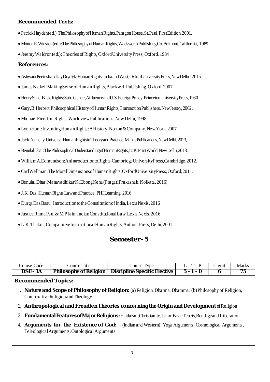#### **Recommended Texts:**

- PatrickHayden(ed.):ThePhilosophyofHumanRights,ParagonHouse,St.Paul,FirstEdition,2001.
- •MortonE.Winston(ed.):ThePhilosophyofHumanRights,WadsworthPublishingCo.Belmont,California, 1989.
- JeremyWaldron(ed.):Theories of Rights, OxfordUniversityPress, Oxford, 1984

#### **References:**

- Ashwani Peetushand Jay Drydyk: Human Rights: India and West, Oxford University Press, New Delhi, 2015.
- JamesNickel:MakingSense ofHumanRights,BlackwellPublishing,Oxford,2007.
- HenryShue:BasicRights:Subsistence,AffluenceandU.S.ForeignPolicy,PrincetonUniversityPress,1980
- Gary, B. Herbert: Philosophical History of Human Rights, Transaction Publishers, New Jersey, 2002.
- Michael Freeden: Rights, Worldview Publications, New Delhi, 1998.
- •LynnHunt:InventingHumanRights:AHistory,Norton&Company,NewYork, 2007.
- JackDonnelly:UniversalHumanRightsinTheoryandPractice,ManasPublications,NewDelhi,2013,
- •BenulalDhar:ThePhilosophicalUnderstandingofHumanRights,D.K.PrintWorld,NewDelhi,2013.
- •WilliamA.Edmundson:AnIntroductiontoRights,CambridgeUniversityPress,Cambridge,2012.
- •CarlWellman:TheMoralDimensionsofHumanRights,OxfordUniversityPress,Oxford,2011.
- Benulal Dhar, Manavadhikar KiEbong Kena (Pragati Prakashak, Kolkata, 2016)
- J. K. Das: Human Rights Lawand Practice, PHI Learning, 2016
- DurgaDasBasu :IntroductiontotheConstitutionofIndia,Lexis Nexis,2016
- JusticeRumaPaul& M.PJain:IndianConstitutionalLaw,Lexis Nexis,2016
- •L.K.Thakur,ComparativeInternationalHumanRights,AuthorsPress, Delhi,2001

#### **Semester- 5**

| Code<br>Course    | ıtle<br>ourse                 | VDC<br>ourse                        | - | redit | Mark. |
|-------------------|-------------------------------|-------------------------------------|---|-------|-------|
| <b>DSE-</b><br>1А | <b>Philosophy of Religion</b> | <b>Discipline Specific Elective</b> |   |       | ə     |

#### **Recommended Topics:**

- 1. **Nature and Scope of Philosophy of Religion:** (a) Religion, Dharma, Dhamma, (b)Philosophy of Religion, Comparative ReligionandTheology
- 2. **Anthropological and FreudienTheories concerning the Originand Development** ofReligion
- 3. **FundamentalFeaturesofMajorReligions:**Hinduism,Christianity,Islam:BasicTenets,Bondageand Liberation
- 4. **Arguments for the Existence of God:** (Indian and Western): Yoga Arguments, Cosmological Arguments, TeleologicalArguments,Ontological Arguments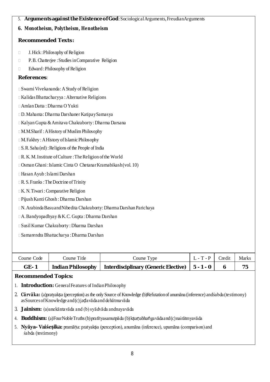| 5. Arguments against the Existence of God: Sociological Arguments, Freudian Arguments                                                                                                        |                                                                                                                                 |                                                                       |             |        |              |
|----------------------------------------------------------------------------------------------------------------------------------------------------------------------------------------------|---------------------------------------------------------------------------------------------------------------------------------|-----------------------------------------------------------------------|-------------|--------|--------------|
|                                                                                                                                                                                              | 6. Monotheism, Polytheism, Henotheism                                                                                           |                                                                       |             |        |              |
| <b>Recommended Texts:</b>                                                                                                                                                                    |                                                                                                                                 |                                                                       |             |        |              |
| O.                                                                                                                                                                                           | J. Hick: Philosophy of Religion                                                                                                 |                                                                       |             |        |              |
| O.                                                                                                                                                                                           | P.B. Chatterjee : Studies in Comparative Religion                                                                               |                                                                       |             |        |              |
| O                                                                                                                                                                                            | Edward: Philosophy of Religion                                                                                                  |                                                                       |             |        |              |
| <b>References:</b>                                                                                                                                                                           |                                                                                                                                 |                                                                       |             |        |              |
|                                                                                                                                                                                              | □ Swami Vivekananda: A Study of Religion                                                                                        |                                                                       |             |        |              |
|                                                                                                                                                                                              | □ Kalidas Bhattacharyya : Alternative Religions                                                                                 |                                                                       |             |        |              |
| □ Amlan Datta: Dharma O Yukti                                                                                                                                                                |                                                                                                                                 |                                                                       |             |        |              |
|                                                                                                                                                                                              | D. Mahanta: Dharma Darshaner Katipay Samasya                                                                                    |                                                                       |             |        |              |
|                                                                                                                                                                                              | □ Kalyan Gupta & Amitava Chakraborty: Dharma Darsana                                                                            |                                                                       |             |        |              |
|                                                                                                                                                                                              | □ M.M.Sharif: A History of Muslim Philosophy                                                                                    |                                                                       |             |        |              |
|                                                                                                                                                                                              | $\Box$ M. Fakhry: A History of Islamic Philosophy                                                                               |                                                                       |             |        |              |
|                                                                                                                                                                                              | $\square$ S. R. Saha (ed): Religions of the People of India                                                                     |                                                                       |             |        |              |
|                                                                                                                                                                                              | □ R. K. M. Institute of Culture : The Religion of the World                                                                     |                                                                       |             |        |              |
|                                                                                                                                                                                              | $\Box$ Osman Ghani : Islamic Cinta O Chetanar Kramabikash (vol. 10)                                                             |                                                                       |             |        |              |
| □ Hasan Ayub : Islami Darshan                                                                                                                                                                |                                                                                                                                 |                                                                       |             |        |              |
|                                                                                                                                                                                              | $\Box$ R. S. Franks: The Doctrine of Trinity                                                                                    |                                                                       |             |        |              |
|                                                                                                                                                                                              | $\Box K$ . N. Tiwari: Comparative Religion                                                                                      |                                                                       |             |        |              |
|                                                                                                                                                                                              | □ Pijush Kanti Ghosh : Dharma Darshan                                                                                           |                                                                       |             |        |              |
|                                                                                                                                                                                              |                                                                                                                                 | □ N. Arabinda Basu and Nibedita Chakraborty: Dharma Darshan Parichaya |             |        |              |
|                                                                                                                                                                                              | □ A. Bandyopadhyay & K.C. Gupta: Dharma Darshan                                                                                 |                                                                       |             |        |              |
|                                                                                                                                                                                              | □ Susil Kumar Chakraborty: Dharma Darshan                                                                                       |                                                                       |             |        |              |
|                                                                                                                                                                                              | □ Samarendra Bhattacharya: Dharma Darshan                                                                                       |                                                                       |             |        |              |
|                                                                                                                                                                                              |                                                                                                                                 |                                                                       |             |        |              |
| Course Code                                                                                                                                                                                  | Course Title                                                                                                                    | Course Type                                                           | $L - T - P$ | Credit | <b>Marks</b> |
| $GE-1$                                                                                                                                                                                       | <b>Indian Philosophy</b>                                                                                                        | <b>Interdisciplinary (Generic Elective)</b>                           | $5 - 1 - 0$ | 6      | 75           |
| <b>Recommended Topics:</b>                                                                                                                                                                   |                                                                                                                                 |                                                                       |             |        |              |
|                                                                                                                                                                                              | 1. <b>Introduction:</b> General Features of Indian Philosophy                                                                   |                                                                       |             |        |              |
| 2. Cārvāka: (a)pratyakṣa (perception) as the only Source of Knowledge (b)Refutation of anumāna (inference) andśabda (testimony)<br>as Sources of Knowledge and (c) jadavāda and de hātmavāda |                                                                                                                                 |                                                                       |             |        |              |
| 3. <b>Jainism:</b> (a)anekāntavāda and (b) syādvāda andnayavāda                                                                                                                              |                                                                                                                                 |                                                                       |             |        |              |
| 4. <b>Buddhism:</b> (a)FourNobleTruths (b) pratītyasamutpāda (b) kṣaṇabhaṅga vāda and (c) nairātm ya vāda                                                                                    |                                                                                                                                 |                                                                       |             |        |              |
|                                                                                                                                                                                              | 5. Ny <b>āya—Vaiśeșika:</b> pramāņa: pratyakṣa (perception), anumāna (inference), upamāna (comparison) and<br>śabda (testimony) |                                                                       |             |        |              |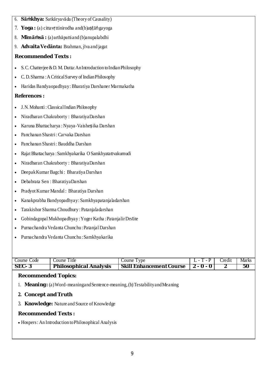- 6. **Sāṁkhya:** Satkāryavāda (Theory of Causality)
- 7. **Yoga :** (a) cittavṛttinirodha and(b)aṣṭāṅgayoga
- 8. **Mῑmāṁsā :** (a)arthāpattiand (b)anupalabdhi
- 9. **Advaita Vedānta:** Brahman, jīva and jagat

#### **Recommended Texts :**

- S.C.Chatterjee & D. M. Dutta: An Introduction to Indian Philosophy
- C. D.Sharma :A CriticalSurvey of IndianPhilosophy
- Haridas Bandyaopadhyay:Bharatiya Darshaner Marmakatha

#### **References :**

- J.N. Mohanti :ClassicalIndian Philosophy
- Niradbaran Chakraborty : BharatiyaDarshan
- Karuna Bhattacharya : Nyaya-Vaisheṣika Darshan
- Panchanan Shastri :Carvaka Darshan
- Panchanan Shastri : Bauddha Darshan
- RajatBhattacharya :Samkhyakarika O Samkhyatattvakumudi
- Niradbaran Chakraborty : BharatiyaDarshan
- DeepakKumar Bagchi : BharatiyaDarshan
- Debabrata Sen : BharatiyaDarshan
- Pradyot Kumar Mandal : Bharatiya Darshan
- Kanakprabha Bandyopadhyay: Samkhyapatanjaladarshan
- Tarakishor Sharma Choudhury : Patanjaladarshan
- Gobindagopal Mukhopadhyay :Yoger Katha :PatanjalirDrstite
- PurnachandraVedanta Chunchu :Patanjal Darshan
- PurnachandraVedanta Chunchu :Samkhyakarika

| Code<br>Course | l'itle<br>Course              | Course<br>1 ype                 | -                                      | re dit | Marks |
|----------------|-------------------------------|---------------------------------|----------------------------------------|--------|-------|
| SEC-           | <b>Philosophical Analysis</b> | <b>Skill Enhancement Course</b> | $2 -$<br>$\mathbf 0$<br>$\mathbf{0}$ - |        | 50    |

#### **Recommended Topics:**

- 1. **Meaning:** (a)Word-meaningandSentence-meaning,(b)TestabilityandMeaning
- **2. Concept andTruth**
- 3. **Knowledge:** Nature and Source of Knowledge

#### **Recommended Texts :**

• Hospers: An Introduction toPhilosophical Analysis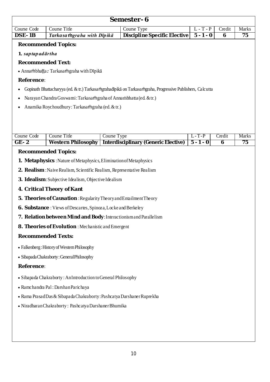| <b>Semester-6</b>          |                                                                               |             |                                                                                                             |             |                         |              |
|----------------------------|-------------------------------------------------------------------------------|-------------|-------------------------------------------------------------------------------------------------------------|-------------|-------------------------|--------------|
| Course Code                | <b>Course Title</b>                                                           |             | Course Type                                                                                                 | $L - T - P$ | Credit                  | Marks        |
| $\overline{\text{DSE-1B}}$ | Tarkasa mgraha with Dīpikā                                                    |             | <b>Discipline Specific Elective</b>                                                                         | $5 - 1 - 0$ | $\boldsymbol{6}$        | 75           |
| 1. saptapadārtha           | <b>Recommended Topics:</b>                                                    |             |                                                                                                             |             |                         |              |
|                            | <b>Recommended Text:</b>                                                      |             |                                                                                                             |             |                         |              |
|                            | · Annambhatta: Tarkasamgraha with Dīpikā                                      |             |                                                                                                             |             |                         |              |
| <b>Reference:</b>          |                                                                               |             |                                                                                                             |             |                         |              |
|                            | Narayan Chandra Goswami: Tarkasa mgraha of Annambhatta (ed. & tr.)            |             | Gopinath Bhattacharyya (ed. & tr.) Tarkasa mgrahadīpikā on Tarkasa mgraha, Progressive Publishers, Calcutta |             |                         |              |
|                            | Anamika Roychoudhury: Tarkasamgraha (ed. & tr.)                               |             |                                                                                                             |             |                         |              |
|                            |                                                                               |             |                                                                                                             |             |                         |              |
|                            |                                                                               |             |                                                                                                             |             |                         |              |
| Course Code                | <b>Course Title</b>                                                           | Course Type |                                                                                                             | $L-T-P$     | Credit                  | <b>Marks</b> |
| $GE-2$                     | <b>Western Philosophy</b>                                                     |             | <b>Interdisciplinary (Generic Elective)</b>                                                                 | $5 - 1 - 0$ | $\overline{\mathbf{6}}$ | 75           |
|                            | <b>Recommended Topics:</b>                                                    |             |                                                                                                             |             |                         |              |
|                            | <b>1. Metaphysics</b> : Nature of Metaphysics, Elimination of Metaphysics     |             |                                                                                                             |             |                         |              |
|                            | <b>2. Realism</b> : Naive Realism, Scientific Realism, Representative Realism |             |                                                                                                             |             |                         |              |
|                            | <b>3. Idealism:</b> Subjective Idealism, Objective Idealism                   |             |                                                                                                             |             |                         |              |
|                            | <b>4. Critical Theory of Kant</b>                                             |             |                                                                                                             |             |                         |              |
|                            | <b>5. Theories of Causation</b> : Regularity Theory and Entailment Theory     |             |                                                                                                             |             |                         |              |
|                            | 6. Substance: Views of Descartes, Spinoza, Locke and Berkeley                 |             |                                                                                                             |             |                         |              |
|                            | 7. Relation between Mind and Body: Interactionism and Parallelism             |             |                                                                                                             |             |                         |              |
|                            | 8. Theories of Evolution : Mechanistic and Emergent                           |             |                                                                                                             |             |                         |              |
|                            | <b>Recommended Texts:</b>                                                     |             |                                                                                                             |             |                         |              |
|                            |                                                                               |             |                                                                                                             |             |                         |              |
|                            | • Falkenberg: History of Western Philosophy                                   |             |                                                                                                             |             |                         |              |
|                            | · Sibapada Chakraborty: General Philosophy                                    |             |                                                                                                             |             |                         |              |
| <b>Reference:</b>          |                                                                               |             |                                                                                                             |             |                         |              |
|                            | • Sibapada Chakraborty: An Introduction to General Philosophy                 |             |                                                                                                             |             |                         |              |
|                            | • Ramchandra Pal: Darshan Parichaya                                           |             |                                                                                                             |             |                         |              |
|                            | • Rama Prasad Das & Sibapada Chakraborty: Pashcatya Darshaner Ruprekha        |             |                                                                                                             |             |                         |              |
|                            | • Niradbaran Chakraborty: Pashcatya Darshaner Bhumika                         |             |                                                                                                             |             |                         |              |
|                            |                                                                               |             |                                                                                                             |             |                         |              |
|                            |                                                                               |             |                                                                                                             |             |                         |              |
|                            |                                                                               |             |                                                                                                             |             |                         |              |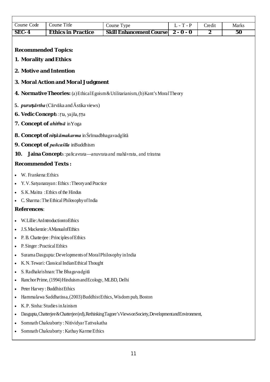| Course Code               | <b>Course Title</b>                                               | Course Type                                                                                                | $L - T - P$ | Credit           | <b>Marks</b> |
|---------------------------|-------------------------------------------------------------------|------------------------------------------------------------------------------------------------------------|-------------|------------------|--------------|
| $SEC-4$                   | <b>Ethics in Practice</b>                                         | <b>Skill Enhancement Course</b>                                                                            | $2 - 0 - 0$ | $\boldsymbol{2}$ | 50           |
|                           |                                                                   |                                                                                                            |             |                  |              |
|                           | <b>Recommended Topics:</b>                                        |                                                                                                            |             |                  |              |
| 1. Morality and Ethics    |                                                                   |                                                                                                            |             |                  |              |
|                           | 2. Motive and Intention                                           |                                                                                                            |             |                  |              |
|                           | 3. Moral Action and Moral Judgment                                |                                                                                                            |             |                  |              |
|                           |                                                                   | <b>4. Normative Theories:</b> (a) Ethical Egoism & Utilitarianism, (b) Kant's Moral Theory                 |             |                  |              |
|                           | 5. <i>puru</i> ș <i>ārtha</i> (Cārvāka and Āstika views)          |                                                                                                            |             |                  |              |
|                           | 6. Vedic Concepts: [ta, yajña, [na                                |                                                                                                            |             |                  |              |
|                           | 7. Concept of <i>ahimsa</i> in Yoga                               |                                                                                                            |             |                  |              |
|                           | 8. Concept of nişkāmakarma in Śrīmadbhagavadgīitā                 |                                                                                                            |             |                  |              |
|                           | 9. Concept of pañcaśīla inBuddhism                                |                                                                                                            |             |                  |              |
| 10.                       |                                                                   | Jaina Concepts: pañcavrata—anuvrata and mahāvrata, and triratna                                            |             |                  |              |
| <b>Recommended Texts:</b> |                                                                   |                                                                                                            |             |                  |              |
| W. Frankena: Ethics       |                                                                   |                                                                                                            |             |                  |              |
|                           | Y. V. Satyanarayan: Ethics: Theory and Practice                   |                                                                                                            |             |                  |              |
|                           | S. K. Maitra: Ethics of the Hindus                                |                                                                                                            |             |                  |              |
|                           | C. Sharma: The Ethical Philosophy of India                        |                                                                                                            |             |                  |              |
| <b>References:</b>        |                                                                   |                                                                                                            |             |                  |              |
|                           | W.Lillie: AnIntroduction to Ethics                                |                                                                                                            |             |                  |              |
| $\bullet$                 | J.S.Mackenzie: AManual of Ethics                                  |                                                                                                            |             |                  |              |
| ٠                         | P. B. Chatterjee : Principles of Ethics                           |                                                                                                            |             |                  |              |
| ٠                         | P. Singer: Practical Ethics                                       |                                                                                                            |             |                  |              |
| $\bullet$                 | Surama Dasgupta: Developments of Moral Philosophy in India        |                                                                                                            |             |                  |              |
| ٠                         | K. N. Tewari: Classical Indian Ethical Thought                    |                                                                                                            |             |                  |              |
| $\bullet$                 | S. Radhakrishnan: The Bhagavadgitā                                |                                                                                                            |             |                  |              |
| $\bullet$                 | Ranchor Prime, (1994) Hinduism and Ecology, MLBD, Delhi           |                                                                                                            |             |                  |              |
| $\bullet$                 | Peter Harvey: Buddhist Ethics                                     |                                                                                                            |             |                  |              |
| ٠                         | Hammalawa Saddhatissa, (2003) Buddhist Ethics, Wisdom pub, Boston |                                                                                                            |             |                  |              |
|                           | K.P. Sinha: Studies in Jainism                                    |                                                                                                            |             |                  |              |
| $\bullet$                 |                                                                   | Dasgupta, Chatterjee & Chatterjee (ed), Rethinking Tagore's Views on Society, Development and Environment, |             |                  |              |
| $\bullet$                 | Somnath Chakraborty: Nitividyar Tattvakatha                       |                                                                                                            |             |                  |              |
| $\bullet$                 | Somnath Chakraborty: Kathay Karme Ethics                          |                                                                                                            |             |                  |              |